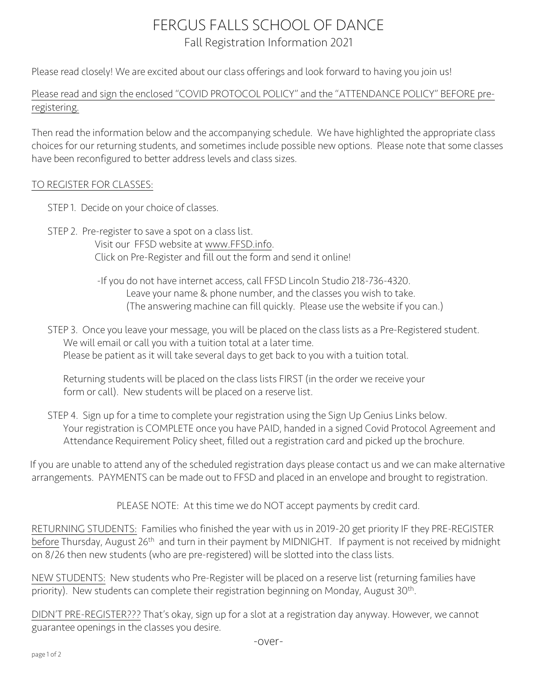## FERGUS FALLS SCHOOL OF DANCE Fall Registration Information 2021

Please read closely! We are excited about our class offerings and look forward to having you join us!

Please read and sign the enclosed "COVID PROTOCOL POLICY" and the "ATTENDANCE POLICY" BEFORE preregistering.

Then read the information below and the accompanying schedule. We have highlighted the appropriate class choices for our returning students, and sometimes include possible new options. Please note that some classes have been reconfigured to better address levels and class sizes.

## TO REGISTER FOR CLASSES:

- STEP 1. Decide on your choice of classes.
- STEP 2. Pre-register to save a spot on a class list. Visit our FFSD website at www.FFSD.info. Click on Pre-Register and fill out the form and send it online!
	- -If you do not have internet access, call FFSD Lincoln Studio 218-736-4320. Leave your name & phone number, and the classes you wish to take. (The answering machine can fill quickly. Please use the website if you can.)

 STEP 3. Once you leave your message, you will be placed on the class lists as a Pre-Registered student. We will email or call you with a tuition total at a later time. Please be patient as it will take several days to get back to you with a tuition total.

Returning students will be placed on the class lists FIRST (in the order we receive your form or call). New students will be placed on a reserve list.

STEP 4. Sign up for a time to complete your registration using the Sign Up Genius Links below. Your registration is COMPLETE once you have PAID, handed in a signed Covid Protocol Agreement and Attendance Requirement Policy sheet, filled out a registration card and picked up the brochure.

 If you are unable to attend any of the scheduled registration days please contact us and we can make alternative arrangements. PAYMENTS can be made out to FFSD and placed in an envelope and brought to registration.

PLEASE NOTE: At this time we do NOT accept payments by credit card.

RETURNING STUDENTS: Families who finished the year with us in 2019-20 get priority IF they PRE-REGISTER before Thursday, August 26<sup>th</sup> and turn in their payment by MIDNIGHT. If payment is not received by midnight on 8/26 then new students (who are pre-registered) will be slotted into the class lists.

NEW STUDENTS: New students who Pre-Register will be placed on a reserve list (returning families have priority). New students can complete their registration beginning on Monday, August 30<sup>th</sup>.

DIDN'T PRE-REGISTER??? That's okay, sign up for a slot at a registration day anyway. However, we cannot guarantee openings in the classes you desire.